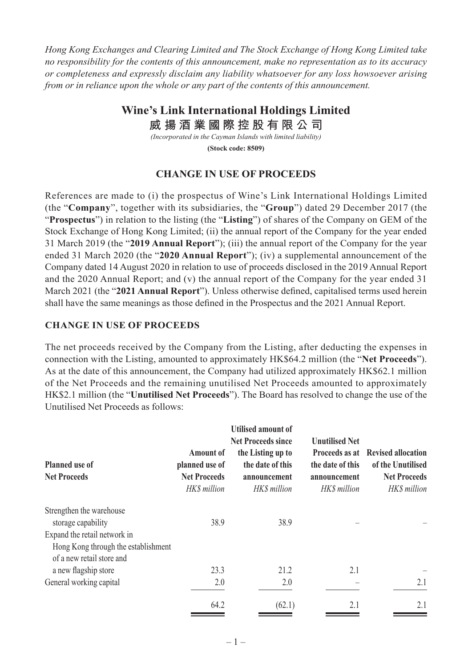*Hong Kong Exchanges and Clearing Limited and The Stock Exchange of Hong Kong Limited take no responsibility for the contents of this announcement, make no representation as to its accuracy or completeness and expressly disclaim any liability whatsoever for any loss howsoever arising from or in reliance upon the whole or any part of the contents of this announcement.*

## **Wine's Link International Holdings Limited**

**威 揚 酒 業 國 際 控 股 有 限 公 司**

*(Incorporated in the Cayman Islands with limited liability)*

**(Stock code: 8509)**

## **CHANGE IN USE OF PROCEEDS**

References are made to (i) the prospectus of Wine's Link International Holdings Limited (the "**Company**", together with its subsidiaries, the "**Group**") dated 29 December 2017 (the "**Prospectus**") in relation to the listing (the "**Listing**") of shares of the Company on GEM of the Stock Exchange of Hong Kong Limited; (ii) the annual report of the Company for the year ended 31 March 2019 (the "**2019 Annual Report**"); (iii) the annual report of the Company for the year ended 31 March 2020 (the "**2020 Annual Report**"); (iv) a supplemental announcement of the Company dated 14 August 2020 in relation to use of proceeds disclosed in the 2019 Annual Report and the 2020 Annual Report; and (v) the annual report of the Company for the year ended 31 March 2021 (the "**2021 Annual Report**"). Unless otherwise defined, capitalised terms used herein shall have the same meanings as those defined in the Prospectus and the 2021 Annual Report.

## **CHANGE IN USE OF PROCEEDS**

The net proceeds received by the Company from the Listing, after deducting the expenses in connection with the Listing, amounted to approximately HK\$64.2 million (the "**Net Proceeds**"). As at the date of this announcement, the Company had utilized approximately HK\$62.1 million of the Net Proceeds and the remaining unutilised Net Proceeds amounted to approximately HK\$2.1 million (the "**Unutilised Net Proceeds**"). The Board has resolved to change the use of the Unutilised Net Proceeds as follows:

| <b>Planned use of</b><br><b>Net Proceeds</b>                     | <b>Amount of</b><br>planned use of<br><b>Net Proceeds</b><br>HK\$ million | <b>Utilised amount of</b><br><b>Net Proceeds since</b><br>the Listing up to<br>the date of this<br>announcement<br>HK\$ million | <b>Unutilised Net</b><br>Proceeds as at<br>the date of this<br>announcement<br>HK\$ million | <b>Revised allocation</b><br>of the Unutilised<br><b>Net Proceeds</b><br>HK\$ million |
|------------------------------------------------------------------|---------------------------------------------------------------------------|---------------------------------------------------------------------------------------------------------------------------------|---------------------------------------------------------------------------------------------|---------------------------------------------------------------------------------------|
| Strengthen the warehouse                                         |                                                                           |                                                                                                                                 |                                                                                             |                                                                                       |
| storage capability                                               | 38.9                                                                      | 38.9                                                                                                                            |                                                                                             |                                                                                       |
| Expand the retail network in                                     |                                                                           |                                                                                                                                 |                                                                                             |                                                                                       |
| Hong Kong through the establishment<br>of a new retail store and |                                                                           |                                                                                                                                 |                                                                                             |                                                                                       |
| a new flagship store                                             | 23.3                                                                      | 21.2                                                                                                                            | 2.1                                                                                         |                                                                                       |
| General working capital                                          | 2.0                                                                       | 2.0                                                                                                                             |                                                                                             | 2.1                                                                                   |
|                                                                  | 64.2                                                                      | (62.1)                                                                                                                          | 2.1                                                                                         | 2.1                                                                                   |